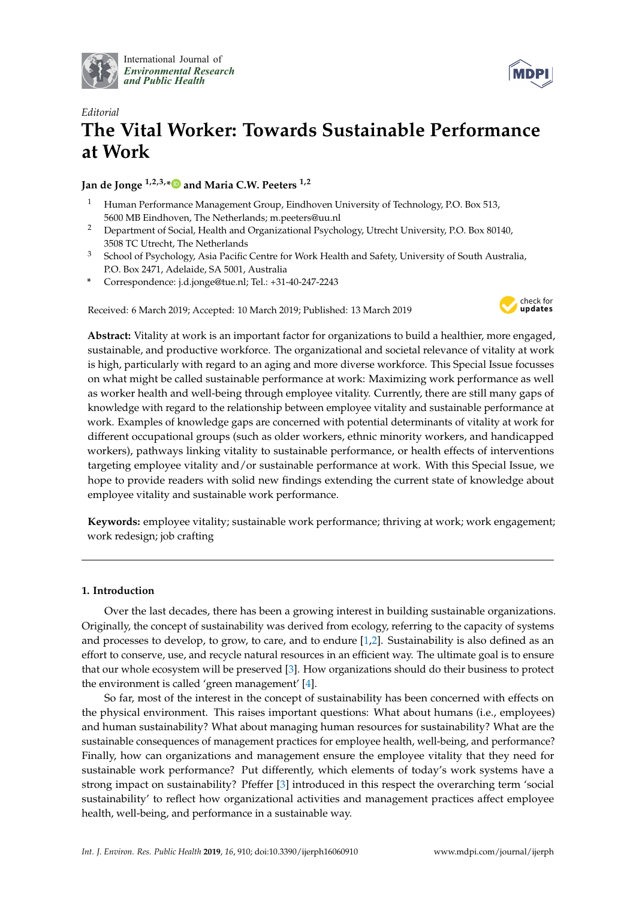

International Journal of *[Environmental Research](http://www.mdpi.com/journal/ijerph) and Public Health*



# *Editorial* **The Vital Worker: Towards Sustainable Performance at Work**

**Jan de Jonge 1,2,3,[\\*](https://orcid.org/0000-0003-0338-3062) and Maria C.W. Peeters 1,2**

- <sup>1</sup> Human Performance Management Group, Eindhoven University of Technology, P.O. Box 513, 5600 MB Eindhoven, The Netherlands; m.peeters@uu.nl
- <sup>2</sup> Department of Social, Health and Organizational Psychology, Utrecht University, P.O. Box 80140, 3508 TC Utrecht, The Netherlands
- <sup>3</sup> School of Psychology, Asia Pacific Centre for Work Health and Safety, University of South Australia, P.O. Box 2471, Adelaide, SA 5001, Australia
- **\*** Correspondence: j.d.jonge@tue.nl; Tel.: +31-40-247-2243

Received: 6 March 2019; Accepted: 10 March 2019; Published: 13 March 2019



**Abstract:** Vitality at work is an important factor for organizations to build a healthier, more engaged, sustainable, and productive workforce. The organizational and societal relevance of vitality at work is high, particularly with regard to an aging and more diverse workforce. This Special Issue focusses on what might be called sustainable performance at work: Maximizing work performance as well as worker health and well-being through employee vitality. Currently, there are still many gaps of knowledge with regard to the relationship between employee vitality and sustainable performance at work. Examples of knowledge gaps are concerned with potential determinants of vitality at work for different occupational groups (such as older workers, ethnic minority workers, and handicapped workers), pathways linking vitality to sustainable performance, or health effects of interventions targeting employee vitality and/or sustainable performance at work. With this Special Issue, we hope to provide readers with solid new findings extending the current state of knowledge about employee vitality and sustainable work performance.

**Keywords:** employee vitality; sustainable work performance; thriving at work; work engagement; work redesign; job crafting

## **1. Introduction**

Over the last decades, there has been a growing interest in building sustainable organizations. Originally, the concept of sustainability was derived from ecology, referring to the capacity of systems and processes to develop, to grow, to care, and to endure [\[1,](#page-4-0)[2\]](#page-4-1). Sustainability is also defined as an effort to conserve, use, and recycle natural resources in an efficient way. The ultimate goal is to ensure that our whole ecosystem will be preserved [\[3\]](#page-4-2). How organizations should do their business to protect the environment is called 'green management' [\[4\]](#page-4-3).

So far, most of the interest in the concept of sustainability has been concerned with effects on the physical environment. This raises important questions: What about humans (i.e., employees) and human sustainability? What about managing human resources for sustainability? What are the sustainable consequences of management practices for employee health, well-being, and performance? Finally, how can organizations and management ensure the employee vitality that they need for sustainable work performance? Put differently, which elements of today's work systems have a strong impact on sustainability? Pfeffer [\[3\]](#page-4-2) introduced in this respect the overarching term 'social sustainability' to reflect how organizational activities and management practices affect employee health, well-being, and performance in a sustainable way.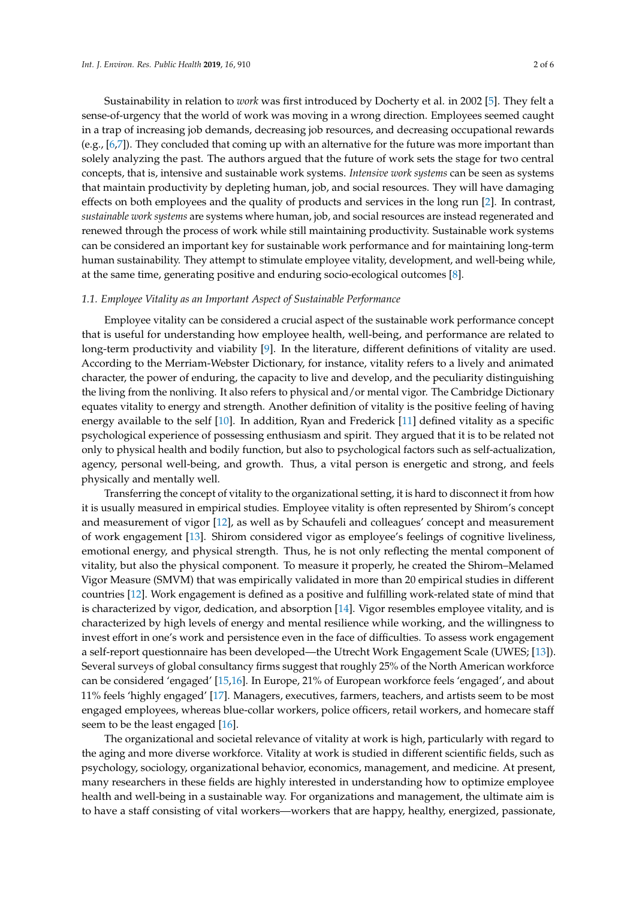Sustainability in relation to *work* was first introduced by Docherty et al. in 2002 [\[5\]](#page-4-4). They felt a sense-of-urgency that the world of work was moving in a wrong direction. Employees seemed caught in a trap of increasing job demands, decreasing job resources, and decreasing occupational rewards (e.g., [\[6](#page-4-5)[,7\]](#page-4-6)). They concluded that coming up with an alternative for the future was more important than solely analyzing the past. The authors argued that the future of work sets the stage for two central concepts, that is, intensive and sustainable work systems. *Intensive work systems* can be seen as systems that maintain productivity by depleting human, job, and social resources. They will have damaging effects on both employees and the quality of products and services in the long run [\[2\]](#page-4-1). In contrast, *sustainable work systems* are systems where human, job, and social resources are instead regenerated and renewed through the process of work while still maintaining productivity. Sustainable work systems can be considered an important key for sustainable work performance and for maintaining long-term human sustainability. They attempt to stimulate employee vitality, development, and well-being while, at the same time, generating positive and enduring socio-ecological outcomes [\[8\]](#page-4-7).

#### *1.1. Employee Vitality as an Important Aspect of Sustainable Performance*

Employee vitality can be considered a crucial aspect of the sustainable work performance concept that is useful for understanding how employee health, well-being, and performance are related to long-term productivity and viability [\[9\]](#page-4-8). In the literature, different definitions of vitality are used. According to the Merriam-Webster Dictionary, for instance, vitality refers to a lively and animated character, the power of enduring, the capacity to live and develop, and the peculiarity distinguishing the living from the nonliving. It also refers to physical and/or mental vigor. The Cambridge Dictionary equates vitality to energy and strength. Another definition of vitality is the positive feeling of having energy available to the self [\[10\]](#page-4-9). In addition, Ryan and Frederick [\[11\]](#page-4-10) defined vitality as a specific psychological experience of possessing enthusiasm and spirit. They argued that it is to be related not only to physical health and bodily function, but also to psychological factors such as self-actualization, agency, personal well-being, and growth. Thus, a vital person is energetic and strong, and feels physically and mentally well.

Transferring the concept of vitality to the organizational setting, it is hard to disconnect it from how it is usually measured in empirical studies. Employee vitality is often represented by Shirom's concept and measurement of vigor [\[12\]](#page-4-11), as well as by Schaufeli and colleagues' concept and measurement of work engagement [\[13\]](#page-4-12). Shirom considered vigor as employee's feelings of cognitive liveliness, emotional energy, and physical strength. Thus, he is not only reflecting the mental component of vitality, but also the physical component. To measure it properly, he created the Shirom–Melamed Vigor Measure (SMVM) that was empirically validated in more than 20 empirical studies in different countries [\[12\]](#page-4-11). Work engagement is defined as a positive and fulfilling work-related state of mind that is characterized by vigor, dedication, and absorption [\[14\]](#page-4-13). Vigor resembles employee vitality, and is characterized by high levels of energy and mental resilience while working, and the willingness to invest effort in one's work and persistence even in the face of difficulties. To assess work engagement a self-report questionnaire has been developed—the Utrecht Work Engagement Scale (UWES; [\[13\]](#page-4-12)). Several surveys of global consultancy firms suggest that roughly 25% of the North American workforce can be considered 'engaged' [\[15,](#page-4-14)[16\]](#page-4-15). In Europe, 21% of European workforce feels 'engaged', and about 11% feels 'highly engaged' [\[17\]](#page-4-16). Managers, executives, farmers, teachers, and artists seem to be most engaged employees, whereas blue-collar workers, police officers, retail workers, and homecare staff seem to be the least engaged [\[16\]](#page-4-15).

The organizational and societal relevance of vitality at work is high, particularly with regard to the aging and more diverse workforce. Vitality at work is studied in different scientific fields, such as psychology, sociology, organizational behavior, economics, management, and medicine. At present, many researchers in these fields are highly interested in understanding how to optimize employee health and well-being in a sustainable way. For organizations and management, the ultimate aim is to have a staff consisting of vital workers—workers that are happy, healthy, energized, passionate,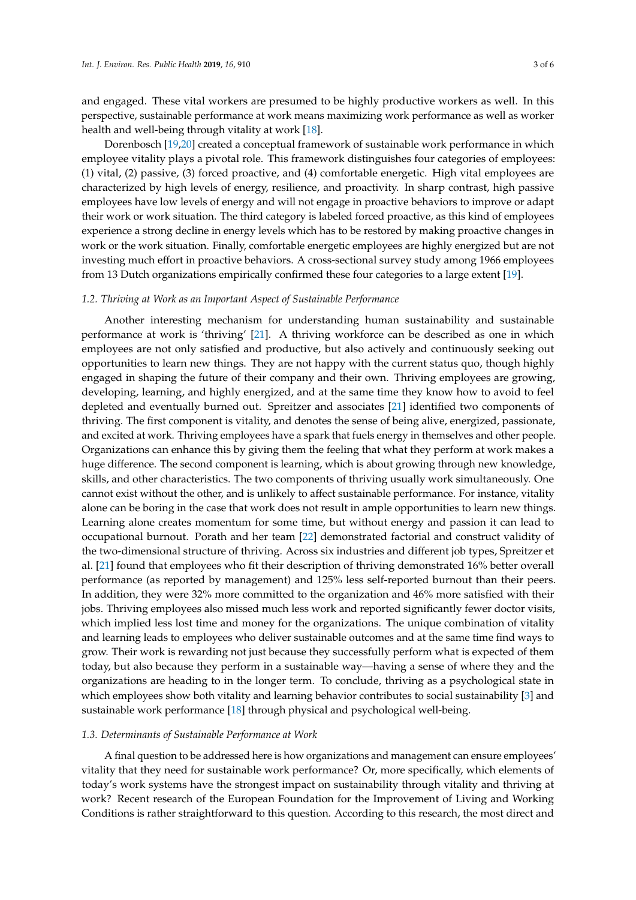and engaged. These vital workers are presumed to be highly productive workers as well. In this perspective, sustainable performance at work means maximizing work performance as well as worker health and well-being through vitality at work [\[18\]](#page-4-17).

Dorenbosch [\[19,](#page-4-18)[20\]](#page-4-19) created a conceptual framework of sustainable work performance in which employee vitality plays a pivotal role. This framework distinguishes four categories of employees: (1) vital, (2) passive, (3) forced proactive, and (4) comfortable energetic. High vital employees are characterized by high levels of energy, resilience, and proactivity. In sharp contrast, high passive employees have low levels of energy and will not engage in proactive behaviors to improve or adapt their work or work situation. The third category is labeled forced proactive, as this kind of employees experience a strong decline in energy levels which has to be restored by making proactive changes in work or the work situation. Finally, comfortable energetic employees are highly energized but are not investing much effort in proactive behaviors. A cross-sectional survey study among 1966 employees from 13 Dutch organizations empirically confirmed these four categories to a large extent [\[19\]](#page-4-18).

#### *1.2. Thriving at Work as an Important Aspect of Sustainable Performance*

Another interesting mechanism for understanding human sustainability and sustainable performance at work is 'thriving' [\[21\]](#page-4-20). A thriving workforce can be described as one in which employees are not only satisfied and productive, but also actively and continuously seeking out opportunities to learn new things. They are not happy with the current status quo, though highly engaged in shaping the future of their company and their own. Thriving employees are growing, developing, learning, and highly energized, and at the same time they know how to avoid to feel depleted and eventually burned out. Spreitzer and associates [\[21\]](#page-4-20) identified two components of thriving. The first component is vitality, and denotes the sense of being alive, energized, passionate, and excited at work. Thriving employees have a spark that fuels energy in themselves and other people. Organizations can enhance this by giving them the feeling that what they perform at work makes a huge difference. The second component is learning, which is about growing through new knowledge, skills, and other characteristics. The two components of thriving usually work simultaneously. One cannot exist without the other, and is unlikely to affect sustainable performance. For instance, vitality alone can be boring in the case that work does not result in ample opportunities to learn new things. Learning alone creates momentum for some time, but without energy and passion it can lead to occupational burnout. Porath and her team [\[22\]](#page-4-21) demonstrated factorial and construct validity of the two-dimensional structure of thriving. Across six industries and different job types, Spreitzer et al. [\[21\]](#page-4-20) found that employees who fit their description of thriving demonstrated 16% better overall performance (as reported by management) and 125% less self-reported burnout than their peers. In addition, they were 32% more committed to the organization and 46% more satisfied with their jobs. Thriving employees also missed much less work and reported significantly fewer doctor visits, which implied less lost time and money for the organizations. The unique combination of vitality and learning leads to employees who deliver sustainable outcomes and at the same time find ways to grow. Their work is rewarding not just because they successfully perform what is expected of them today, but also because they perform in a sustainable way—having a sense of where they and the organizations are heading to in the longer term. To conclude, thriving as a psychological state in which employees show both vitality and learning behavior contributes to social sustainability [\[3\]](#page-4-2) and sustainable work performance [\[18\]](#page-4-17) through physical and psychological well-being.

### *1.3. Determinants of Sustainable Performance at Work*

A final question to be addressed here is how organizations and management can ensure employees' vitality that they need for sustainable work performance? Or, more specifically, which elements of today's work systems have the strongest impact on sustainability through vitality and thriving at work? Recent research of the European Foundation for the Improvement of Living and Working Conditions is rather straightforward to this question. According to this research, the most direct and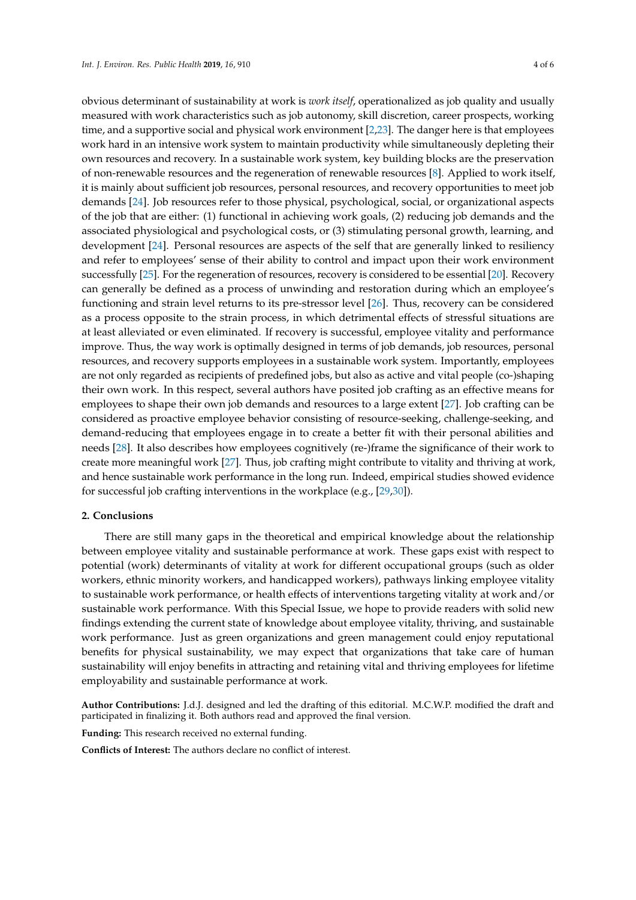obvious determinant of sustainability at work is *work itself*, operationalized as job quality and usually measured with work characteristics such as job autonomy, skill discretion, career prospects, working time, and a supportive social and physical work environment [\[2,](#page-4-1)[23\]](#page-4-22). The danger here is that employees work hard in an intensive work system to maintain productivity while simultaneously depleting their own resources and recovery. In a sustainable work system, key building blocks are the preservation of non-renewable resources and the regeneration of renewable resources [\[8\]](#page-4-7). Applied to work itself, it is mainly about sufficient job resources, personal resources, and recovery opportunities to meet job demands [\[24\]](#page-4-23). Job resources refer to those physical, psychological, social, or organizational aspects of the job that are either: (1) functional in achieving work goals, (2) reducing job demands and the associated physiological and psychological costs, or (3) stimulating personal growth, learning, and development [\[24\]](#page-4-23). Personal resources are aspects of the self that are generally linked to resiliency and refer to employees' sense of their ability to control and impact upon their work environment successfully [\[25\]](#page-5-0). For the regeneration of resources, recovery is considered to be essential [\[20\]](#page-4-19). Recovery can generally be defined as a process of unwinding and restoration during which an employee's functioning and strain level returns to its pre-stressor level [\[26\]](#page-5-1). Thus, recovery can be considered as a process opposite to the strain process, in which detrimental effects of stressful situations are at least alleviated or even eliminated. If recovery is successful, employee vitality and performance improve. Thus, the way work is optimally designed in terms of job demands, job resources, personal resources, and recovery supports employees in a sustainable work system. Importantly, employees are not only regarded as recipients of predefined jobs, but also as active and vital people (co-)shaping their own work. In this respect, several authors have posited job crafting as an effective means for employees to shape their own job demands and resources to a large extent [\[27\]](#page-5-2). Job crafting can be considered as proactive employee behavior consisting of resource-seeking, challenge-seeking, and demand-reducing that employees engage in to create a better fit with their personal abilities and needs [\[28\]](#page-5-3). It also describes how employees cognitively (re-)frame the significance of their work to create more meaningful work [\[27\]](#page-5-2). Thus, job crafting might contribute to vitality and thriving at work, and hence sustainable work performance in the long run. Indeed, empirical studies showed evidence for successful job crafting interventions in the workplace (e.g., [\[29,](#page-5-4)[30\]](#page-5-5)).

#### **2. Conclusions**

There are still many gaps in the theoretical and empirical knowledge about the relationship between employee vitality and sustainable performance at work. These gaps exist with respect to potential (work) determinants of vitality at work for different occupational groups (such as older workers, ethnic minority workers, and handicapped workers), pathways linking employee vitality to sustainable work performance, or health effects of interventions targeting vitality at work and/or sustainable work performance. With this Special Issue, we hope to provide readers with solid new findings extending the current state of knowledge about employee vitality, thriving, and sustainable work performance. Just as green organizations and green management could enjoy reputational benefits for physical sustainability, we may expect that organizations that take care of human sustainability will enjoy benefits in attracting and retaining vital and thriving employees for lifetime employability and sustainable performance at work.

**Author Contributions:** J.d.J. designed and led the drafting of this editorial. M.C.W.P. modified the draft and participated in finalizing it. Both authors read and approved the final version.

**Funding:** This research received no external funding.

**Conflicts of Interest:** The authors declare no conflict of interest.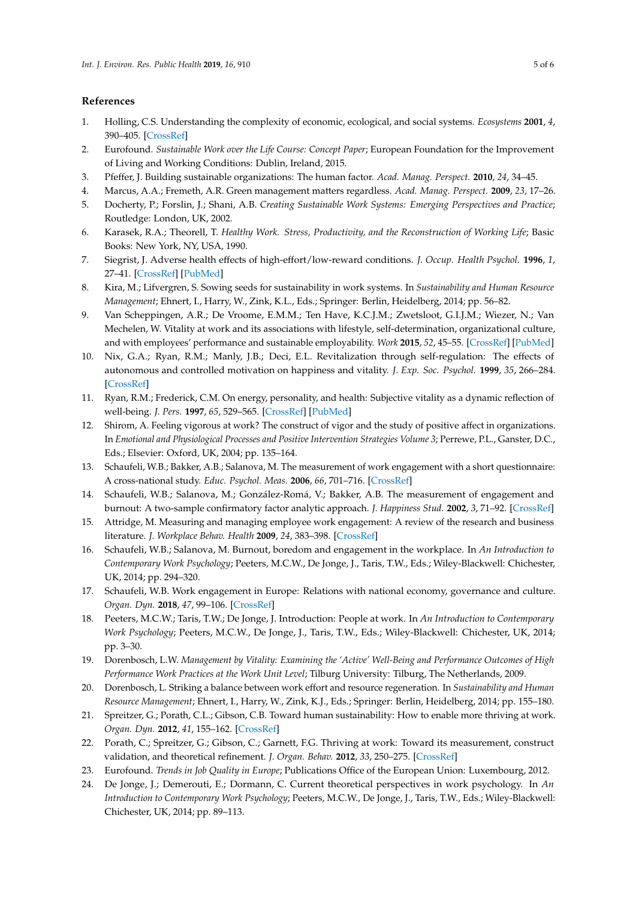## **References**

- <span id="page-4-0"></span>1. Holling, C.S. Understanding the complexity of economic, ecological, and social systems. *Ecosystems* **2001**, *4*, 390–405. [\[CrossRef\]](http://dx.doi.org/10.1007/s10021-001-0101-5)
- <span id="page-4-1"></span>2. Eurofound. *Sustainable Work over the Life Course: Concept Paper*; European Foundation for the Improvement of Living and Working Conditions: Dublin, Ireland, 2015.
- <span id="page-4-2"></span>3. Pfeffer, J. Building sustainable organizations: The human factor. *Acad. Manag. Perspect.* **2010**, *24*, 34–45.
- <span id="page-4-3"></span>4. Marcus, A.A.; Fremeth, A.R. Green management matters regardless. *Acad. Manag. Perspect.* **2009**, *23*, 17–26.
- <span id="page-4-4"></span>5. Docherty, P.; Forslin, J.; Shani, A.B. *Creating Sustainable Work Systems: Emerging Perspectives and Practice*; Routledge: London, UK, 2002.
- <span id="page-4-5"></span>6. Karasek, R.A.; Theorell, T. *Healthy Work. Stress, Productivity, and the Reconstruction of Working Life*; Basic Books: New York, NY, USA, 1990.
- <span id="page-4-6"></span>7. Siegrist, J. Adverse health effects of high-effort/low-reward conditions. *J. Occup. Health Psychol.* **1996**, *1*, 27–41. [\[CrossRef\]](http://dx.doi.org/10.1037/1076-8998.1.1.27) [\[PubMed\]](http://www.ncbi.nlm.nih.gov/pubmed/9547031)
- <span id="page-4-7"></span>8. Kira, M.; Lifvergren, S. Sowing seeds for sustainability in work systems. In *Sustainability and Human Resource Management*; Ehnert, I., Harry, W., Zink, K.L., Eds.; Springer: Berlin, Heidelberg, 2014; pp. 56–82.
- <span id="page-4-8"></span>9. Van Scheppingen, A.R.; De Vroome, E.M.M.; Ten Have, K.C.J.M.; Zwetsloot, G.I.J.M.; Wiezer, N.; Van Mechelen, W. Vitality at work and its associations with lifestyle, self-determination, organizational culture, and with employees' performance and sustainable employability. *Work* **2015**, *52*, 45–55. [\[CrossRef\]](http://dx.doi.org/10.3233/WOR-141947) [\[PubMed\]](http://www.ncbi.nlm.nih.gov/pubmed/25248527)
- <span id="page-4-9"></span>10. Nix, G.A.; Ryan, R.M.; Manly, J.B.; Deci, E.L. Revitalization through self-regulation: The effects of autonomous and controlled motivation on happiness and vitality. *J. Exp. Soc. Psychol.* **1999**, *35*, 266–284. [\[CrossRef\]](http://dx.doi.org/10.1006/jesp.1999.1382)
- <span id="page-4-10"></span>11. Ryan, R.M.; Frederick, C.M. On energy, personality, and health: Subjective vitality as a dynamic reflection of well-being. *J. Pers.* **1997**, *65*, 529–565. [\[CrossRef\]](http://dx.doi.org/10.1111/j.1467-6494.1997.tb00326.x) [\[PubMed\]](http://www.ncbi.nlm.nih.gov/pubmed/9327588)
- <span id="page-4-11"></span>12. Shirom, A. Feeling vigorous at work? The construct of vigor and the study of positive affect in organizations. In *Emotional and Physiological Processes and Positive Intervention Strategies Volume 3*; Perrewe, P.L., Ganster, D.C., Eds.; Elsevier: Oxford, UK, 2004; pp. 135–164.
- <span id="page-4-12"></span>13. Schaufeli, W.B.; Bakker, A.B.; Salanova, M. The measurement of work engagement with a short questionnaire: A cross-national study. *Educ. Psychol. Meas.* **2006**, *66*, 701–716. [\[CrossRef\]](http://dx.doi.org/10.1177/0013164405282471)
- <span id="page-4-13"></span>14. Schaufeli, W.B.; Salanova, M.; González-Romá, V.; Bakker, A.B. The measurement of engagement and burnout: A two-sample confirmatory factor analytic approach. *J. Happiness Stud.* **2002**, *3*, 71–92. [\[CrossRef\]](http://dx.doi.org/10.1023/A:1015630930326)
- <span id="page-4-14"></span>15. Attridge, M. Measuring and managing employee work engagement: A review of the research and business literature. *J. Workplace Behav. Health* **2009**, *24*, 383–398. [\[CrossRef\]](http://dx.doi.org/10.1080/15555240903188398)
- <span id="page-4-15"></span>16. Schaufeli, W.B.; Salanova, M. Burnout, boredom and engagement in the workplace. In *An Introduction to Contemporary Work Psychology*; Peeters, M.C.W., De Jonge, J., Taris, T.W., Eds.; Wiley-Blackwell: Chichester, UK, 2014; pp. 294–320.
- <span id="page-4-16"></span>17. Schaufeli, W.B. Work engagement in Europe: Relations with national economy, governance and culture. *Organ. Dyn.* **2018**, *47*, 99–106. [\[CrossRef\]](http://dx.doi.org/10.1016/j.orgdyn.2018.01.003)
- <span id="page-4-17"></span>18. Peeters, M.C.W.; Taris, T.W.; De Jonge, J. Introduction: People at work. In *An Introduction to Contemporary Work Psychology*; Peeters, M.C.W., De Jonge, J., Taris, T.W., Eds.; Wiley-Blackwell: Chichester, UK, 2014; pp. 3–30.
- <span id="page-4-18"></span>19. Dorenbosch, L.W. *Management by Vitality: Examining the 'Active' Well-Being and Performance Outcomes of High Performance Work Practices at the Work Unit Level*; Tilburg University: Tilburg, The Netherlands, 2009.
- <span id="page-4-19"></span>20. Dorenbosch, L. Striking a balance between work effort and resource regeneration. In *Sustainability and Human Resource Management*; Ehnert, I., Harry, W., Zink, K.J., Eds.; Springer: Berlin, Heidelberg, 2014; pp. 155–180.
- <span id="page-4-20"></span>21. Spreitzer, G.; Porath, C.L.; Gibson, C.B. Toward human sustainability: How to enable more thriving at work. *Organ. Dyn.* **2012**, *41*, 155–162. [\[CrossRef\]](http://dx.doi.org/10.1016/j.orgdyn.2012.01.009)
- <span id="page-4-21"></span>22. Porath, C.; Spreitzer, G.; Gibson, C.; Garnett, F.G. Thriving at work: Toward its measurement, construct validation, and theoretical refinement. *J. Organ. Behav.* **2012**, *33*, 250–275. [\[CrossRef\]](http://dx.doi.org/10.1002/job.756)
- <span id="page-4-22"></span>23. Eurofound. *Trends in Job Quality in Europe*; Publications Office of the European Union: Luxembourg, 2012.
- <span id="page-4-23"></span>24. De Jonge, J.; Demerouti, E.; Dormann, C. Current theoretical perspectives in work psychology. In *An Introduction to Contemporary Work Psychology*; Peeters, M.C.W., De Jonge, J., Taris, T.W., Eds.; Wiley-Blackwell: Chichester, UK, 2014; pp. 89–113.